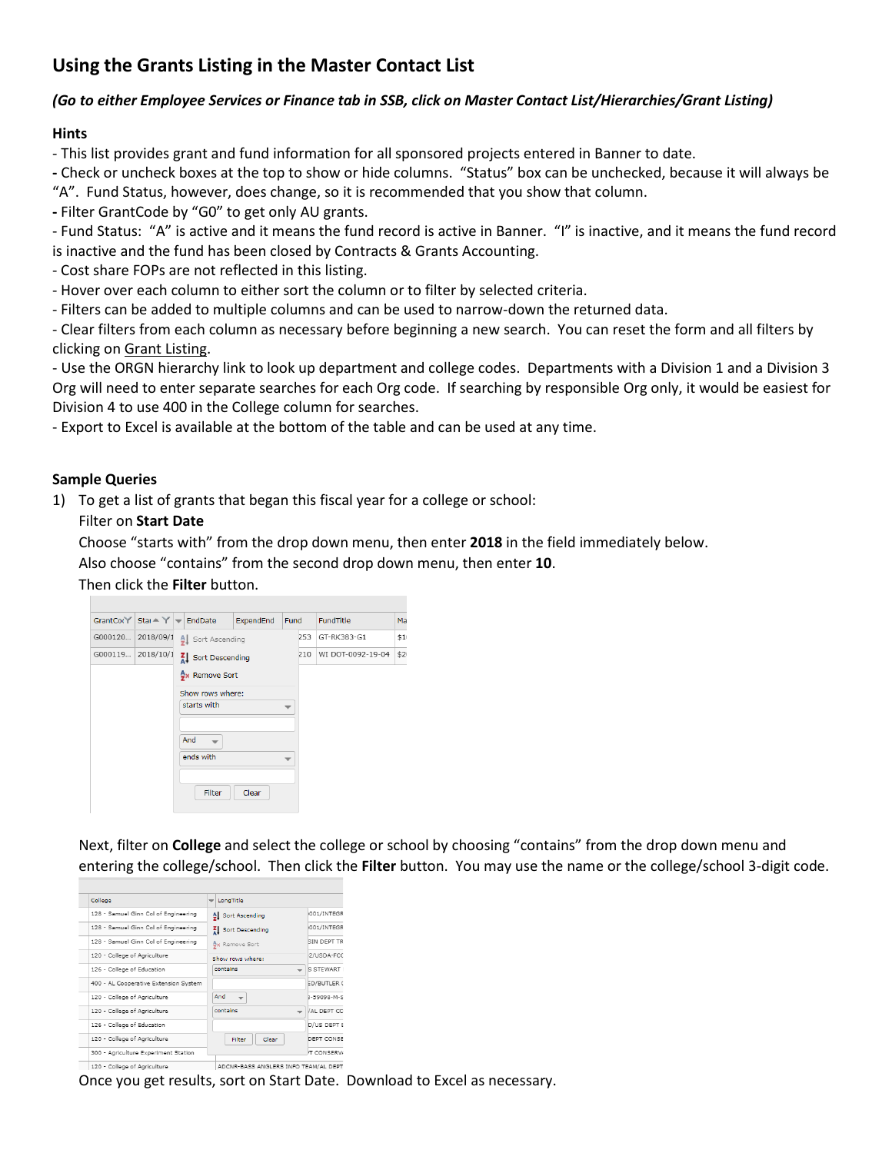# **Using the Grants Listing in the Master Contact List**

#### *(Go to either Employee Services or Finance tab in SSB, click on Master Contact List/Hierarchies/Grant Listing)*

#### **Hints**

- This list provides grant and fund information for all sponsored projects entered in Banner to date.

**-** Check or uncheck boxes at the top to show or hide columns. "Status" box can be unchecked, because it will always be

"A". Fund Status, however, does change, so it is recommended that you show that column.

**-** Filter GrantCode by "G0" to get only AU grants.

- Fund Status: "A" is active and it means the fund record is active in Banner. "I" is inactive, and it means the fund record is inactive and the fund has been closed by Contracts & Grants Accounting.

- Cost share FOPs are not reflected in this listing.

- Hover over each column to either sort the column or to filter by selected criteria.

- Filters can be added to multiple columns and can be used to narrow-down the returned data.

- Clear filters from each column as necessary before beginning a new search. You can reset the form and all filters by clicking on Grant Listing.

- Use the ORGN hierarchy link to look up department and college codes. Departments with a Division 1 and a Division 3 Org will need to enter separate searches for each Org code. If searching by responsible Org only, it would be easiest for Division 4 to use 400 in the College column for searches.

- Export to Excel is available at the bottom of the table and can be used at any time.

#### **Sample Queries**

1) To get a list of grants that began this fiscal year for a college or school:

Filter on **Start Date**

Choose "starts with" from the drop down menu, then enter **2018** in the field immediately below.

Also choose "contains" from the second drop down menu, then enter **10**.

Then click the **Filter** button.



Next, filter on **College** and select the college or school by choosing "contains" from the drop down menu and entering the college/school. Then click the **Filter** button. You may use the name or the college/school 3-digit code.



Once you get results, sort on Start Date. Download to Excel as necessary.